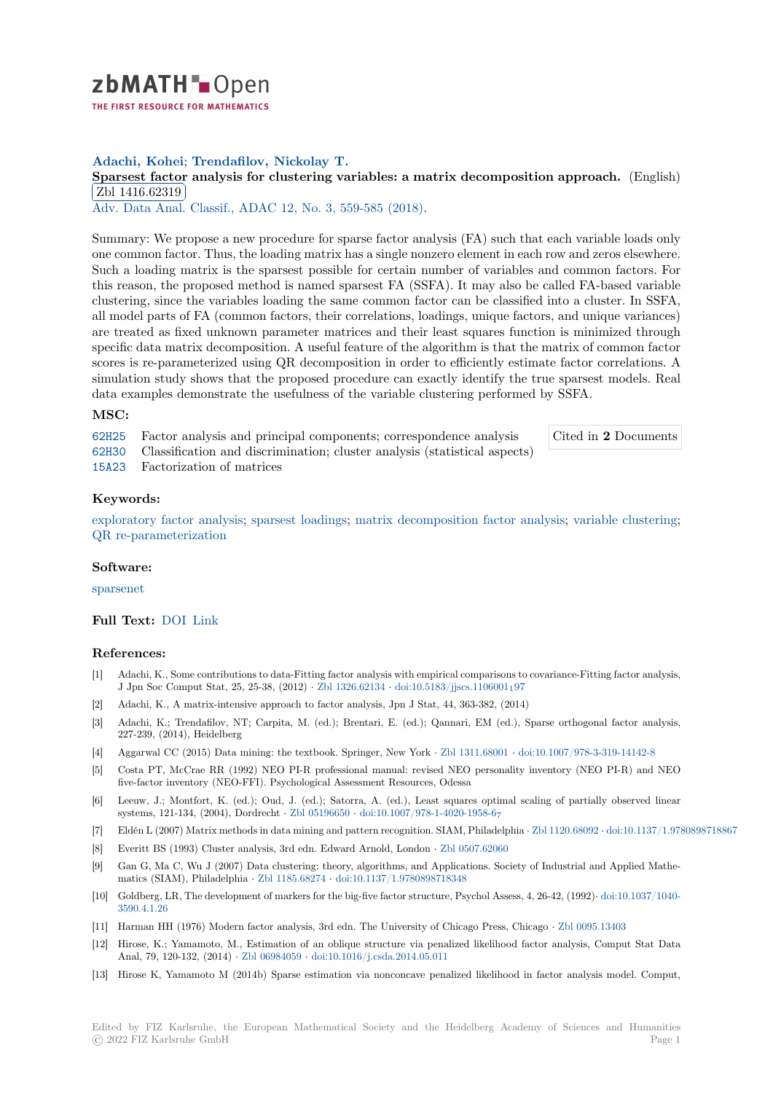

## **Adachi, Kohei**; **Trendafilov, Nickolay T.**

# [S](https://zbmath.org/)parsest factor analysis for clustering variables: a matrix decomposition approach. (English) Zbl 1416.62319

Adv. Data Anal. Classif., ADAC 12, No. 3, 559-585 (2018).

[Summary: We propose a new procedure for sparse factor analysis \(FA\) such that each variable](https://zbmath.org/1416.62319) loads only [one common facto](https://zbmath.org/1416.62319)r. Thus, the loading matrix has a single nonzero element in each row and zeros elsewhere. [Such a loading matrix is the spa](https://zbmath.org/journals/?q=se:4917)[rsest possible for certain n](https://zbmath.org/?q=in:423821)umber of variables and common factors. For this reason, the proposed method is named sparsest FA (SSFA). It may also be called FA-based variable clustering, since the variables loading the same common factor can be classified into a cluster. In SSFA, all model parts of FA (common factors, their correlations, loadings, unique factors, and unique variances) are treated as fixed unknown parameter matrices and their least squares function is minimized through specific data matrix decomposition. A useful feature of the algorithm is that the matrix of common factor scores is re-parameterized using QR decomposition in order to efficiently estimate factor correlations. A simulation study shows that the proposed procedure can exactly identify the true sparsest models. Real data examples demonstrate the usefulness of the variable clustering performed by SSFA.

### **MSC:**

62H25 Factor analysis and principal components; correspondence analysis

Cited in **2** Documents

- 62H30 Classification and discrimination; cluster analysis (statistical aspects)
- 15A23 Factorization of matrices

### **[Keyw](https://zbmath.org/classification/?q=cc:62H25)ords:**

[explor](https://zbmath.org/classification/?q=cc:62H30)atory factor analysis; sparsest loadings; matrix decomposition factor analysis; variable clustering; [QR re](https://zbmath.org/classification/?q=cc:15A23)-parameterization

### **Software:**

[sparsenet](https://zbmath.org/?q=ut:exploratory+factor+analysis)

## **Full Text:** DOI Link

### **[Referenc](https://swmath.org/software/19133)es:**

- [1] Adachi, K., Some contributions to data-Fitting factor analysis with empirical comparisons to covariance-Fitting factor analysis, J Jpn So[c Com](https://dx.doi.org/10.1007/s11634-017-0284-z)[put Sta](http://oro.open.ac.uk/49278/1/ADAC-D-15-00148-R32_ORO.pdf)t, 25, 25-38, (2012) *·* Zbl 1326.62134 *·* doi:10.5183/jjscs.1106001197
- [2] Adachi, K., A matrix-intensive approach to factor analysis, Jpn J Stat, 44, 363-382, (2014)
- [3] Adachi, K.; Trendafilov, NT; Carpita, M. (ed.); Brentari, E. (ed.); Qannari, EM (ed.), Sparse orthogonal factor analysis, 227-239, (2014), Heidelberg
- [4] Aggarwal CC (2015) Data mining: the text[book. Springer,](https://zbmath.org/1326.62134) New York *·* [Zbl 1311.68001](https://dx.doi.org/10.5183/jjscs.1106001_197) *·* doi:10.1007/978-3-319-14142-8
- [5] Costa PT, McCrae RR (1992) NEO PI-R professional manual: revised NEO personality inventory (NEO PI-R) and NEO five-factor inventory (NEO-FFI). Psychological Assessment Resources, Odessa
- [6] Leeuw, J.; Montfort, K. (ed.); Oud, J. (ed.); Satorra, A. (ed.), Least squares optimal scaling of partially observed linear systems, 121-134, (2004), Dordrecht *·* Zbl 05196650 *·* doi:10.1007/978-1[-4020-1958-6](https://zbmath.org/1311.68001)<sup>7</sup>
- [7] Eldén L (2007) Matrix methods in data mining and pattern recognition. SIAM, Philadelphia *·* Zbl 1120.68092 *·* doi:10.1137/1.9780898718867
- [8] Everitt BS (1993) Cluster analysis, 3rd edn. Edward Arnold, London *·* Zbl 0507.62060
- [9] Gan G, Ma C, Wu J (2007) Data clustering: theory, algorithms, and Applications. Society of Industrial and Applied Mathematics (SIAM), Philadelphia *·* Zbl 11[85.68274](https://zbmath.org/05196650) *·* doi:1[0.1137/1.9780898718348](https://dx.doi.org/10.1007/978-1-4020-1958-6_7)
- [10] Goldberg, LR, The development of markers for the big-five factor structure, Psychol Assess,4[, 26-42, \(1992\)](https://zbmath.org/1120.68092)*·* [doi:10.1037/1040-](https://dx.doi.org/10.1137/1.9780898718867) 3590.4.1.26
- [11] Harman HH (1976) Modern factor analysis, 3rd edn. The University of Chicago Press, Chicago *·* Zbl 0095.13403
- [12] Hirose, K.; Yamamoto, M., Es[timation of an](https://zbmath.org/1185.68274) o[blique structure via penalized](https://dx.doi.org/10.1137/1.9780898718348) likelihood factor analysis, Comput Stat Data Anal, 79, 120-132, (2014) *·* Zbl 06984059 *·* doi:10.1016/j.csda.2014.05.011
- [13] [Hirose K, Y](https://dx.doi.org/10.1037/1040-3590.4.1.26)amamoto M (2014b) Sparse estimation via nonconcave penalized likelihood in factor analysis model. Comput,